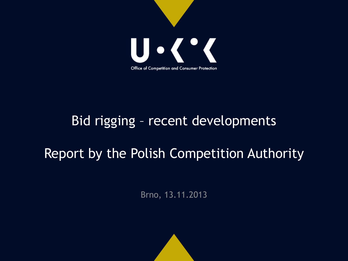

## Bid rigging – recent developments

# Report by the Polish Competition Authority

Brno, 13.11.2013

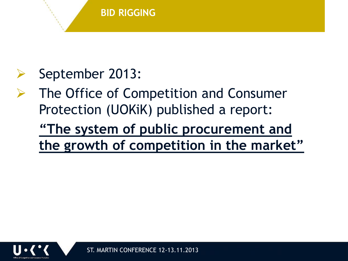

# September 2013:

 The Office of Competition and Consumer Protection (UOKiK) published a report:

**"The system of public procurement and the growth of competition in the market"**



ST. MARTIN CONFERENCE 12-13.11.2013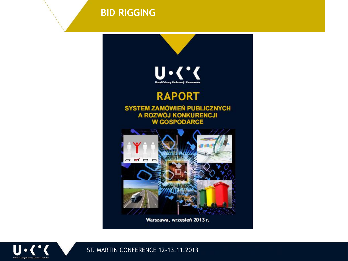**BID RIGGING**



Warszawa, wrzesień 2013 r.



ST. MARTIN CONFERENCE 12-13.11.2013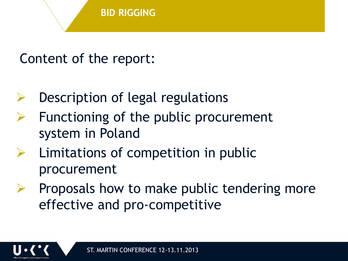## Content of the report:

- Description of legal regulations
- Functioning of the public procurement system in Poland
- Limitations of competition in public procurement
- $\triangleright$  Proposals how to make public tendering more effective and pro-competitive

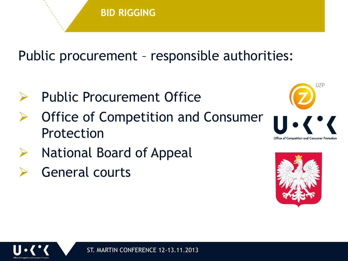

## Public procurement – responsible authorities:

- Public Procurement Office
- Office of Competition and Consumer Protection
- National Board of Appeal
- General courts



UZP



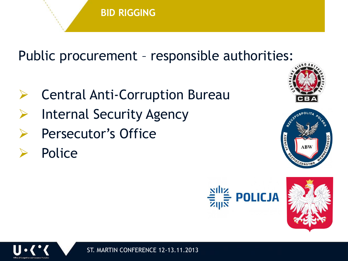

## Public procurement – responsible authorities:

- **▶ Central Anti-Corruption Bureau**
- Internal Security Agency
- Persecutor's Office
- Police









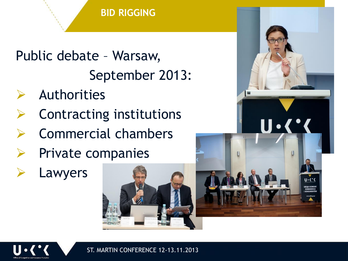#### **BID RIGGING**

# Public debate – Warsaw, September 2013:

- Authorities
- Contracting institutions
- Commercial chambers
- Private companies
- Lawyers



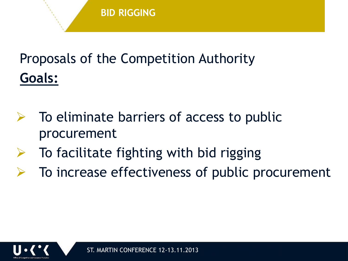# Proposals of the Competition Authority **Goals:**

- To eliminate barriers of access to public procurement
- $\triangleright$  To facilitate fighting with bid rigging
- To increase effectiveness of public procurement

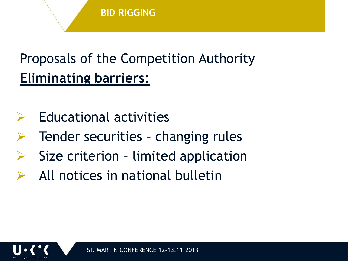# Proposals of the Competition Authority **Eliminating barriers:**

- $\triangleright$  Educational activities
- Tender securities changing rules
- Size criterion limited application
- All notices in national bulletin

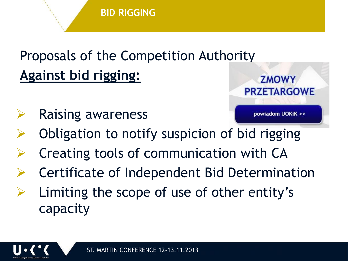# Proposals of the Competition Authority **Against bid rigging:**

Raising awareness



- Obligation to notify suspicion of bid rigging
- Creating tools of communication with CA
- Certificate of Independent Bid Determination
- Limiting the scope of use of other entity's capacity

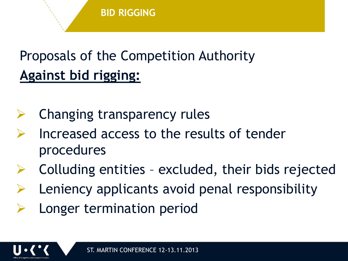# Proposals of the Competition Authority **Against bid rigging:**

- Changing transparency rules
- Increased access to the results of tender procedures
- Colluding entities excluded, their bids rejected
- Leniency applicants avoid penal responsibility
- Longer termination period

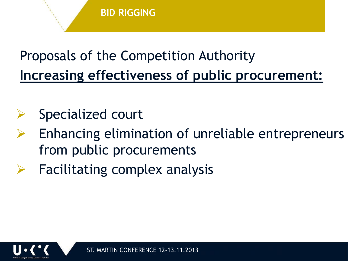# Proposals of the Competition Authority **Increasing effectiveness of public procurement:**

- Specialized court
- Enhancing elimination of unreliable entrepreneurs from public procurements
- Facilitating complex analysis

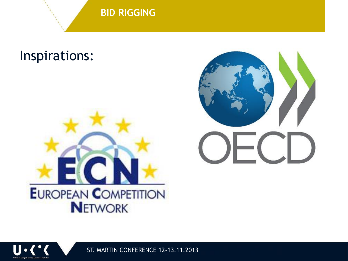**BID RIGGING**

## Inspirations:







ST. MARTIN CONFERENCE 12-13.11.2013